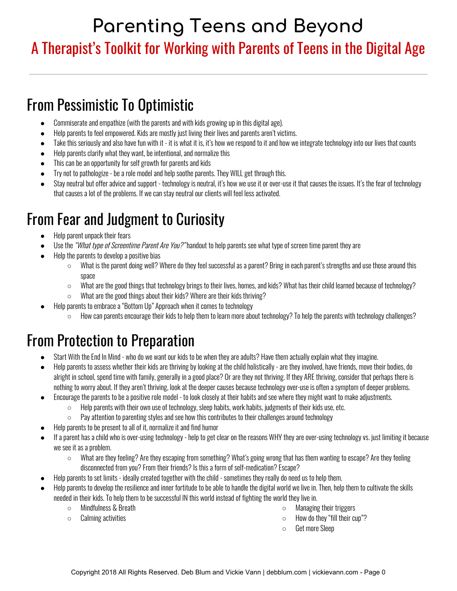#### A Therapist's Toolkit for Working with Parents of Teens in the Digital Age

## From Pessimistic To Optimistic

- Commiserate and empathize (with the parents and with kids growing up in this digital age).
- Help parents to feel empowered. Kids are mostly just living their lives and parents aren't victims.
- Take this seriously and also have fun with it it is what it is, it's how we respond to it and how we integrate technology into our lives that counts
- Help parents clarify what they want, be intentional, and normalize this
- This can be an opportunity for self growth for parents and kids
- Try not to pathologize be a role model and help soothe parents. They WILL get through this.
- Stay neutral but offer advice and support technology is neutral, it's how we use it or over-use it that causes the issues. It's the fear of technology that causes a lot of the problems. If we can stay neutral our clients will feel less activated.

## From Fear and Judgment to Curiosity

- Help parent unpack their fears
- Use the "What type of Screentime Parent Are You?" handout to help parents see what type of screen time parent they are
- Help the parents to develop a positive bias
	- $\circ$  What is the parent doing well? Where do they feel successful as a parent? Bring in each parent's strengths and use those around this space
	- What are the good things that technology brings to their lives, homes, and kids? What has their child learned because of technology?
	- What are the good things about their kids? Where are their kids thriving?
	- Help parents to embrace a "Bottom Up" Approach when it comes to technology
		- How can parents encourage their kids to help them to learn more about technology? To help the parents with technology challenges?

## From Protection to Preparation

- Start With the End In Mind who do we want our kids to be when they are adults? Have them actually explain what they imagine.
- Help parents to assess whether their kids are thriving by looking at the child holistically are they involved, have friends, move their bodies, do alright in school, spend time with family, generally in a good place? Or are they not thriving. If they ARE thriving, consider that perhaps there is nothing to worry about. If they aren't thriving, look at the deeper causes because technology over-use is often a symptom of deeper problems.
- Encourage the parents to be a positive role model to look closely at their habits and see where they might want to make adjustments.
	- $\circ$  Help parents with their own use of technology, sleep habits, work habits, judgments of their kids use, etc.
	- $\circ$  Pay attention to parenting styles and see how this contributes to their challenges around technology
	- Help parents to be present to all of it, normalize it and find humor
- If a parent has a child who is over-using technology help to get clear on the reasons WHY they are over-using technology vs. just limiting it because we see it as a problem.
	- What are they feeling? Are they escaping from something? What's going wrong that has them wanting to escape? Are they feeling disconnected from you? From their friends? Is this a form of self-medication? Escape?
- Help parents to set limits ideally created together with the child sometimes they really do need us to help them.
- Help parents to develop the resilience and inner fortitude to be able to handle the digital world we live in. Then, help them to cultivate the skills needed in their kids. To help them to be successful IN this world instead of fighting the world they live in.
	- Mindfulness & Breath
	- Calming activities
- Managing their triggers
- How do they "fill their cup"?
- Get more Sleep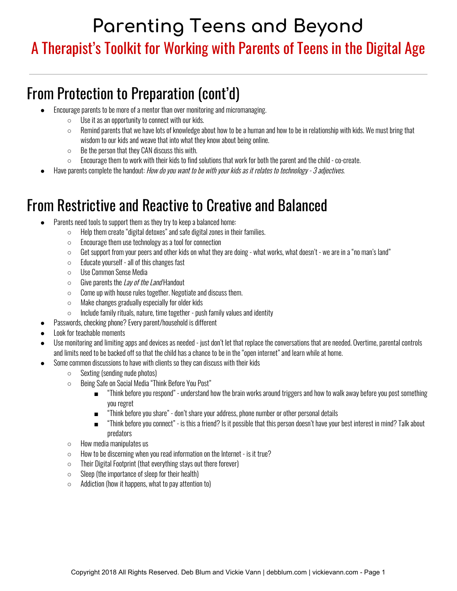## A Therapist's Toolkit for Working with Parents of Teens in the Digital Age

## From Protection to Preparation (cont'd)

- Encourage parents to be more of a mentor than over monitoring and micromanaging.
	- $\circ$  Use it as an opportunity to connect with our kids.
	- $\circ$  Remind parents that we have lots of knowledge about how to be a human and how to be in relationship with kids. We must bring that wisdom to our kids and weave that into what they know about being online.
	- $\circ$  Be the person that they CAN discuss this with.
	- $\circ$  Encourage them to work with their kids to find solutions that work for both the parent and the child co-create.
- Have parents complete the handout: How do you want to be with your kids as it relates to technology 3 adjectives.

#### From Restrictive and Reactive to Creative and Balanced

- Parents need tools to support them as they try to keep a balanced home:
	- $\circ$  Help them create "digital detoxes" and safe digital zones in their families.
	- Encourage them use technology as a tool for connection
	- $\circ$  Get support from your peers and other kids on what they are doing what works, what doesn't we are in a "no man's land"
	- Educate yourself all of this changes fast
	- Use Common Sense Media
	- Give parents the Lay of the Land Handout
	- Come up with house rules together. Negotiate and discuss them.
	- Make changes gradually especially for older kids
	- Include family rituals, nature, time together push family values and identity
- Passwords, checking phone? Every parent/household is different
- Look for teachable moments
- Use monitoring and limiting apps and devices as needed just don't let that replace the conversations that are needed. Overtime, parental controls and limits need to be backed off so that the child has a chance to be in the "open internet" and learn while at home.
- Some common discussions to have with clients so they can discuss with their kids
	- Sexting (sending nude photos)
	- Being Safe on Social Media "Think Before You Post"
		- "Think before you respond" understand how the brain works around triggers and how to walk away before you post something you regret
		- "Think before you share" don't share your address, phone number or other personal details
		- "Think before you connect" is this a friend? Is it possible that this person doesn't have your best interest in mind? Talk about predators
	- How media manipulates us
	- How to be discerning when you read information on the Internet is it true?
	- Their Digital Footprint (that everything stays out there forever)
	- $\circ$  Sleep (the importance of sleep for their health)
	- $\circ$  Addiction (how it happens, what to pay attention to)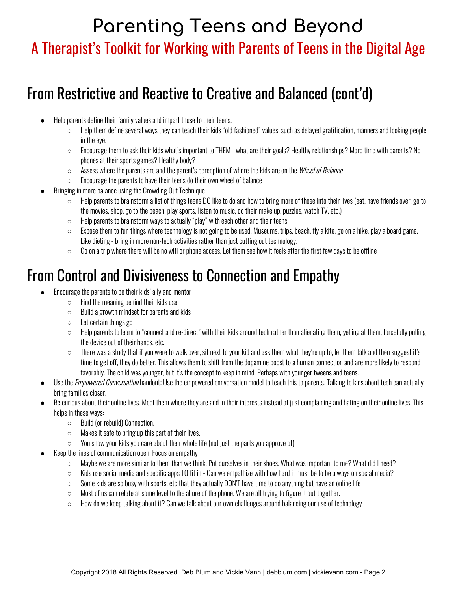## A Therapist's Toolkit for Working with Parents of Teens in the Digital Age

## From Restrictive and Reactive to Creative and Balanced (cont'd)

- Help parents define their family values and impart those to their teens.
	- $\circ$  Help them define several ways they can teach their kids "old fashioned" values, such as delayed gratification, manners and looking people in the eye.
	- $\circ$  Encourage them to ask their kids what's important to THEM what are their goals? Healthy relationships? More time with parents? No phones at their sports games? Healthy body?
	- Assess where the parents are and the parent's perception of where the kids are on the *Wheel of Balance*
	- $\circ$  Encourage the parents to have their teens do their own wheel of balance
- Bringing in more balance using the Crowding Out Technique
	- Help parents to brainstorm a list of things teens DO like to do and how to bring more of those into their lives (eat, have friends over, go to the movies, shop, go to the beach, play sports, listen to music, do their make up, puzzles, watch TV, etc.)
	- $\circ$  Help parents to brainstorm ways to actually "play" with each other and their teens.
	- $\circ$  Expose them to fun things where technology is not going to be used. Museums, trips, beach, fly a kite, go on a hike, play a board game. Like dieting - bring in more non-tech activities rather than just cutting out technology.
	- $\circ$  Go on a trip where there will be no wifi or phone access. Let them see how it feels after the first few days to be offline

## From Control and Divisiveness to Connection and Empathy

- Encourage the parents to be their kids' ally and mentor
	- $\circ$  Find the meaning behind their kids use
	- Build a growth mindset for parents and kids
	- Let certain things go
	- Help parents to learn to "connect and re-direct" with their kids around tech rather than alienating them, yelling at them, forcefully pulling the device out of their hands, etc.
	- There was a study that if you were to walk over, sit next to your kid and ask them what they're up to, let them talk and then suggest it's time to get off, they do better. This allows them to shift from the dopamine boost to a human connection and are more likely to respond favorably. The child was younger, but it's the concept to keep in mind. Perhaps with younger tweens and teens.
- Use the *Empowered Conversation* handout: Use the empowered conversation model to teach this to parents. Talking to kids about tech can actually bring families closer.
- Be curious about their online lives. Meet them where they are and in their interests instead of just complaining and hating on their online lives. This helps in these ways:
	- Build (or rebuild) Connection.
	- $\circ$  Makes it safe to bring up this part of their lives.
	- $\circ$  You show your kids you care about their whole life (not just the parts you approve of).
- Keep the lines of communication open. Focus on empathy
	- Maybe we are more similar to them than we think. Put ourselves in their shoes. What was important to me? What did I need?
	- $\circ$  Kids use social media and specific apps TO fit in Can we empathize with how hard it must be to be always on social media?
	- $\circ$  Some kids are so busy with sports, etc that they actually DON'T have time to do anything but have an online life
	- Most of us can relate at some level to the allure of the phone. We are all trying to figure it out together.
	- $\circ$  How do we keep talking about it? Can we talk about our own challenges around balancing our use of technology